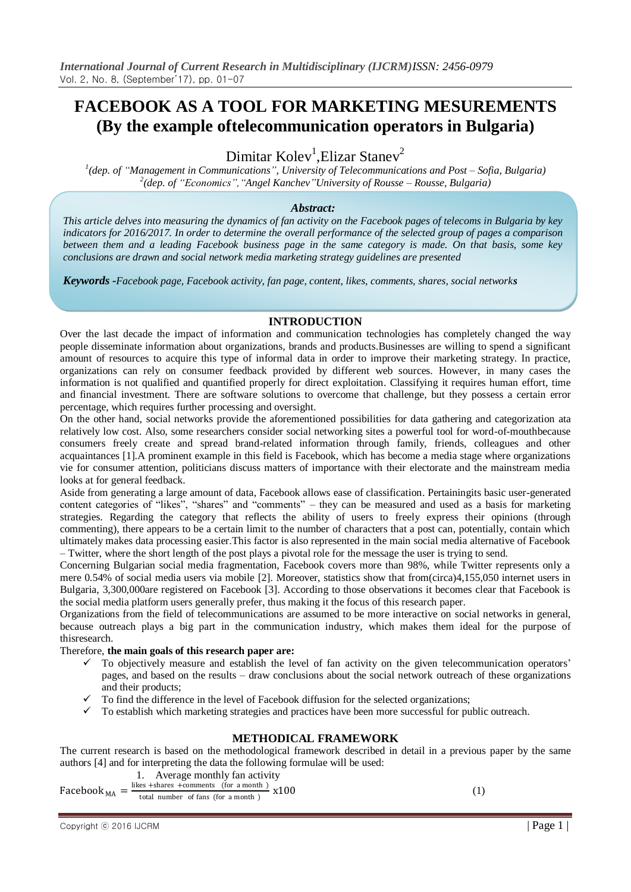# **FACEBOOK AS A TOOL FOR MARKETING MESUREMENTS (By the example oftelecommunication operators in Bulgaria)**

Dimitar Kolev<sup>1</sup>, Elizar Stanev<sup>2</sup>

*1 (dep. of "Management in Communications", University of Telecommunications and Post – Sofia, Bulgaria) 2 (dep. of "Economics","Angel Kanchev"University of Rousse – Rousse, Bulgaria)*

#### *Abstract:*

*This article delves into measuring the dynamics of fan activity on the Facebook pages of telecoms in Bulgaria by key indicators for 2016/2017. In order to determine the overall performance of the selected group of pages a comparison between them and a leading Facebook business page in the same category is made. On that basis, some key conclusions are drawn and social network media marketing strategy guidelines are presented*

*Keywords -Facebook page, Facebook activity, fan page, content, likes, comments, shares, social networks*

#### **INTRODUCTION**

Over the last decade the impact of information and communication technologies has completely changed the way people disseminate information about organizations, brands and products.Businesses are willing to spend a significant amount of resources to acquire this type of informal data in order to improve their marketing strategy. In practice, organizations can rely on consumer feedback provided by different web sources. However, in many cases the information is not qualified and quantified properly for direct exploitation. Classifying it requires human effort, time and financial investment. There are software solutions to overcome that challenge, but they possess a certain error percentage, which requires further processing and oversight.

On the other hand, social networks provide the aforementioned possibilities for data gathering and categorization ata relatively low cost. Also, some researchers consider social networking sites a powerful tool for word-of-mouthbecause consumers freely create and spread brand-related information through family, friends, colleagues and other acquaintances [1].A prominent example in this field is Facebook, which has become a media stage where organizations vie for consumer attention, politicians discuss matters of importance with their electorate and the mainstream media looks at for general feedback.

Aside from generating a large amount of data, Facebook allows ease of classification. Pertainingits basic user-generated content categories of "likes", "shares" and "comments" – they can be measured and used as a basis for marketing strategies. Regarding the category that reflects the ability of users to freely express their opinions (through commenting), there appears to be a certain limit to the number of characters that a post can, potentially, contain which ultimately makes data processing easier.This factor is also represented in the main social media alternative of Facebook – Twitter, where the short length of the post plays a pivotal role for the message the user is trying to send.

Concerning Bulgarian social media fragmentation, Facebook covers more than 98%, while Twitter represents only a mere 0.54% of social media users via mobile [2]. Moreover, statistics show that from(circa)4,155,050 internet users in Bulgaria, 3,300,000are registered on Facebook [3]. According to those observations it becomes clear that Facebook is the social media platform users generally prefer, thus making it the focus of this research paper.

Organizations from the field of telecommunications are assumed to be more interactive on social networks in general, because outreach plays a big part in the communication industry, which makes them ideal for the purpose of thisresearch.

Therefore, **the main goals of this research paper are:**

- To objectively measure and establish the level of fan activity on the given telecommunication operators' pages, and based on the results – draw conclusions about the social network outreach of these organizations and their products;
- To find the difference in the level of Facebook diffusion for the selected organizations;
- $\checkmark$  To establish which marketing strategies and practices have been more successful for public outreach.

# **METHODICAL FRAMEWORK**

The current research is based on the methodological framework described in detail in a previous paper by the same authors [4] and for interpreting the data the following formulae will be used:

1. Average monthly fan activity

Facebook  $_{MA} = \frac{\text{likes + shares + comments (for a month)}}{\text{total number of fans (for a month)}}$  $\frac{\text{ts} - \text{values}}{\text{total number of fans (for a month)}} \times 100$  (1)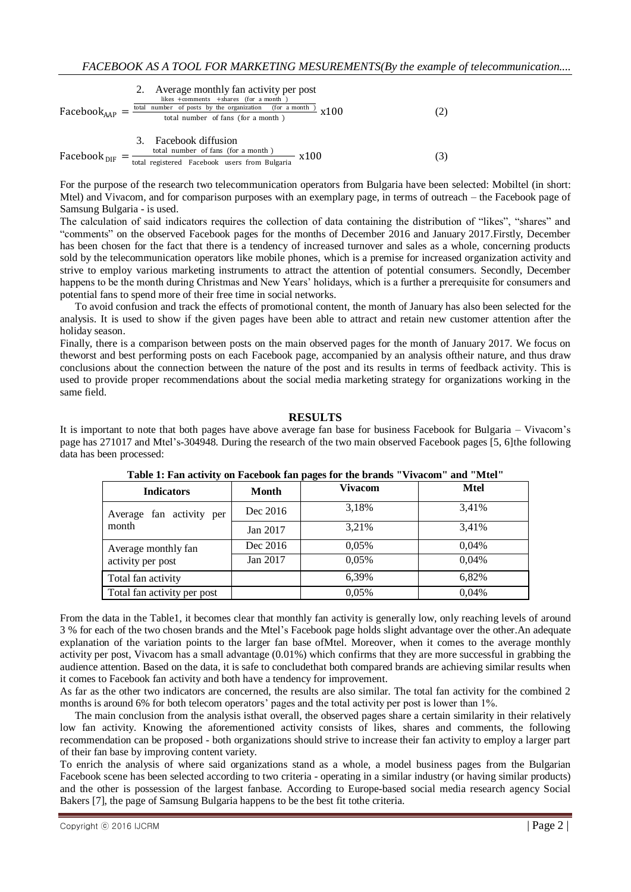| 2. Average monthly fan activity per post                                                                                                                                     |      |
|------------------------------------------------------------------------------------------------------------------------------------------------------------------------------|------|
| Facebook <sub>AAP</sub> = $\frac{\frac{\text{likelihood number of posts by the organization (for a month)}}{\text{total number of posts by the organization (for a month)}}$ | x100 |
| 4.20                                                                                                                                                                         |      |
| 3. Facebook diffusion                                                                                                                                                        |      |
| Facebook <sub>DIF</sub> = $\frac{3.6000 \times \text{diffusion}}{\text{total registered Facebook users from Bulgaria}} \times 100$                                           |      |

For the purpose of the research two telecommunication operators from Bulgaria have been selected: Mobiltel (in short: Mtel) and Vivacom, and for comparison purposes with an exemplary page, in terms of outreach – the Facebook page of Samsung Bulgaria - is used.

The calculation of said indicators requires the collection of data containing the distribution of "likes", "shares" and "comments" on the observed Facebook pages for the months of December 2016 and January 2017.Firstly, December has been chosen for the fact that there is a tendency of increased turnover and sales as a whole, concerning products sold by the telecommunication operators like mobile phones, which is a premise for increased organization activity and strive to employ various marketing instruments to attract the attention of potential consumers. Secondly, December happens to be the month during Christmas and New Years' holidays, which is a further a prerequisite for consumers and potential fans to spend more of their free time in social networks.

To avoid confusion and track the effects of promotional content, the month of January has also been selected for the analysis. It is used to show if the given pages have been able to attract and retain new customer attention after the holiday season.

Finally, there is a comparison between posts on the main observed pages for the month of January 2017. We focus on theworst and best performing posts on each Facebook page, accompanied by an analysis oftheir nature, and thus draw conclusions about the connection between the nature of the post and its results in terms of feedback activity. This is used to provide proper recommendations about the social media marketing strategy for organizations working in the same field.

## **RESULTS**

It is important to note that both pages have above average fan base for business Facebook for Bulgaria – Vivacom's page has 271017 and Mtel's-304948. During the research of the two main observed Facebook pages [5, 6]the following data has been processed:

| <b>Indicators</b>                 | <b>Month</b> | <b>Vivacom</b> | <b>Mtel</b> |
|-----------------------------------|--------------|----------------|-------------|
| Average fan activity per<br>month | Dec 2016     | 3,18%          | 3,41%       |
|                                   | Jan 2017     | 3,21%          | 3,41%       |
| Average monthly fan               | Dec 2016     | 0,05%          | 0,04%       |
| activity per post                 | Jan 2017     | 0.05%          | 0.04%       |
| Total fan activity                |              | 6,39%          | 6,82%       |
| Total fan activity per post       |              | 0.05%          | 0,04%       |

**Table 1: Fan activity on Facebook fan pages for the brands "Vivacom" and "Mtel"**

From the data in the Table1, it becomes clear that monthly fan activity is generally low, only reaching levels of around 3 % for each of the two chosen brands and the Mtel's Facebook page holds slight advantage over the other.An adequate explanation of the variation points to the larger fan base ofMtel. Moreover, when it comes to the average monthly activity per post, Vivacom has a small advantage (0.01%) which confirms that they are more successful in grabbing the audience attention. Based on the data, it is safe to concludethat both compared brands are achieving similar results when it comes to Facebook fan activity and both have a tendency for improvement.

As far as the other two indicators are concerned, the results are also similar. The total fan activity for the combined 2 months is around 6% for both telecom operators' pages and the total activity per post is lower than 1%.

The main conclusion from the analysis isthat overall, the observed pages share a certain similarity in their relatively low fan activity. Knowing the aforementioned activity consists of likes, shares and comments, the following recommendation can be proposed - both organizations should strive to increase their fan activity to employ a larger part of their fan base by improving content variety.

To enrich the analysis of where said organizations stand as a whole, a model business pages from the Bulgarian Facebook scene has been selected according to two criteria - operating in a similar industry (or having similar products) and the other is possession of the largest fanbase. According to Europe-based social media research agency Social Bakers [7], the page of Samsung Bulgaria happens to be the best fit tothe criteria.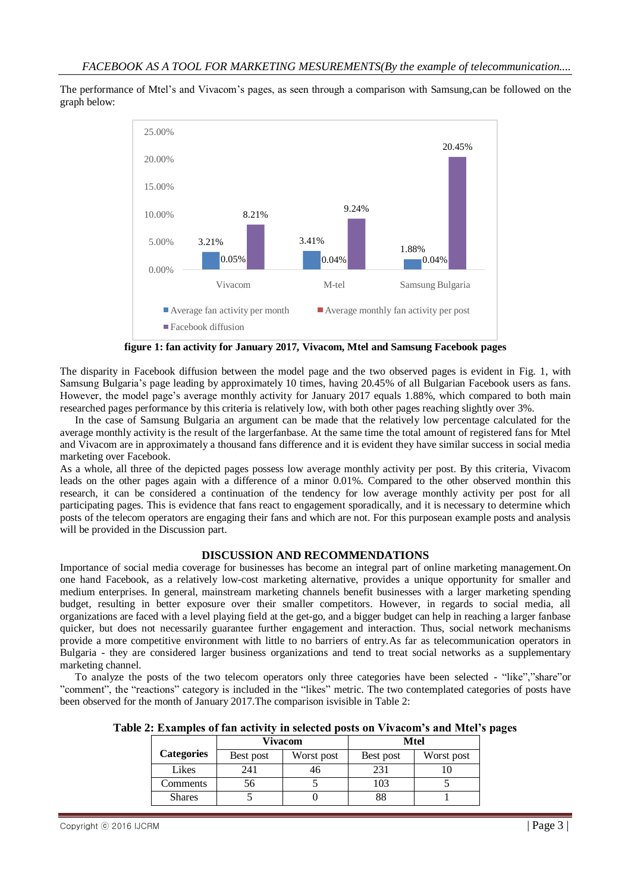The performance of Mtel's and Vivacom's pages, as seen through a comparison with Samsung,can be followed on the graph below:



**figure 1: fan activity for January 2017, Vivacom, Mtel and Samsung Facebook pages**

The disparity in Facebook diffusion between the model page and the two observed pages is evident in Fig. 1, with Samsung Bulgaria's page leading by approximately 10 times, having 20.45% of all Bulgarian Facebook users as fans. However, the model page's average monthly activity for January 2017 equals 1.88%, which compared to both main researched pages performance by this criteria is relatively low, with both other pages reaching slightly over 3%.

In the case of Samsung Bulgaria an argument can be made that the relatively low percentage calculated for the average monthly activity is the result of the largerfanbase. At the same time the total amount of registered fans for Mtel and Vivacom are in approximately a thousand fans difference and it is evident they have similar success in social media marketing over Facebook.

As a whole, all three of the depicted pages possess low average monthly activity per post. By this criteria, Vivacom leads on the other pages again with a difference of a minor 0.01%. Compared to the other observed monthin this research, it can be considered a continuation of the tendency for low average monthly activity per post for all participating pages. This is evidence that fans react to engagement sporadically, and it is necessary to determine which posts of the telecom operators are engaging their fans and which are not. For this purposean example posts and analysis will be provided in the Discussion part.

## **DISCUSSION AND RECOMMENDATIONS**

Importance of social media coverage for businesses has become an integral part of online marketing management.On one hand Facebook, as a relatively low-cost marketing alternative, provides a unique opportunity for smaller and medium enterprises. In general, mainstream marketing channels benefit businesses with a larger marketing spending budget, resulting in better exposure over their smaller competitors. However, in regards to social media, all organizations are faced with a level playing field at the get-go, and a bigger budget can help in reaching a larger fanbase quicker, but does not necessarily guarantee further engagement and interaction. Thus, social network mechanisms provide a more competitive environment with little to no barriers of entry.As far as telecommunication operators in Bulgaria - they are considered larger business organizations and tend to treat social networks as a supplementary marketing channel.

To analyze the posts of the two telecom operators only three categories have been selected - "like","share"or "comment", the "reactions" category is included in the "likes" metric. The two contemplated categories of posts have been observed for the month of January 2017.The comparison isvisible in Table 2:

|  |                | Table 2: Examples of fan activity in selected posts on Vivacom's and Mtel's pages |  |
|--|----------------|-----------------------------------------------------------------------------------|--|
|  | <b>Vivacom</b> | Mtel                                                                              |  |

|                   | vivacom   |            | ivitei    |            |
|-------------------|-----------|------------|-----------|------------|
| <b>Categories</b> | Best post | Worst post | Best post | Worst post |
| Likes             | 241       | 40         | 231       |            |
| Comments          | ЭO.       |            | 103       |            |
| <b>Shares</b>     |           |            | 88        |            |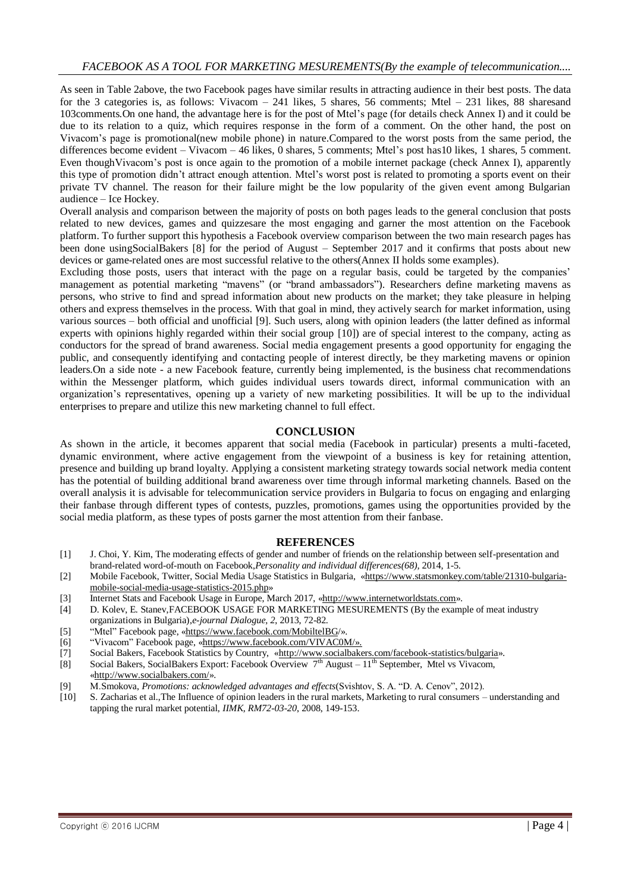#### *FACEBOOK AS A TOOL FOR MARKETING MESUREMENTS(By the example of telecommunication....*

As seen in Table 2above, the two Facebook pages have similar results in attracting audience in their best posts. The data for the 3 categories is, as follows: Vivacom – 241 likes, 5 shares, 56 comments; Mtel – 231 likes, 88 sharesand 103comments.On one hand, the advantage here is for the post of Mtel's page (for details check Annex I) and it could be due to its relation to a quiz, which requires response in the form of a comment. On the other hand, the post on Vivacom's page is promotional(new mobile phone) in nature.Compared to the worst posts from the same period, the differences become evident – Vivacom – 46 likes, 0 shares, 5 comments; Mtel's post has10 likes, 1 shares, 5 comment. Even thoughVivacom's post is once again to the promotion of a mobile internet package (check Annex I), apparently this type of promotion didn't attract enough attention. Mtel's worst post is related to promoting a sports event on their private TV channel. The reason for their failure might be the low popularity of the given event among Bulgarian audience – Ice Hockey.

Overall analysis and comparison between the majority of posts on both pages leads to the general conclusion that posts related to new devices, games and quizzesare the most engaging and garner the most attention on the Facebook platform. To further support this hypothesis a Facebook overview comparison between the two main research pages has been done usingSocialBakers [8] for the period of August – September 2017 and it confirms that posts about new devices or game-related ones are most successful relative to the others(Annex II holds some examples).

Excluding those posts, users that interact with the page on a regular basis, could be targeted by the companies' management as potential marketing "mavens" (or "brand ambassadors"). Researchers define marketing mavens as persons, who strive to find and spread information about new products on the market; they take pleasure in helping others and express themselves in the process. With that goal in mind, they actively search for market information, using various sources – both official and unofficial [9]. Such users, along with opinion leaders (the latter defined as informal experts with opinions highly regarded within their social group [10]) are of special interest to the company, acting as conductors for the spread of brand awareness. Social media engagement presents a good opportunity for engaging the public, and consequently identifying and contacting people of interest directly, be they marketing mavens or opinion leaders.On a side note - a new Facebook feature, currently being implemented, is the business chat recommendations within the Messenger platform, which guides individual users towards direct, informal communication with an organization's representatives, opening up a variety of new marketing possibilities. It will be up to the individual enterprises to prepare and utilize this new marketing channel to full effect.

#### **CONCLUSION**

As shown in the article, it becomes apparent that social media (Facebook in particular) presents a multi-faceted, dynamic environment, where active engagement from the viewpoint of a business is key for retaining attention, presence and building up brand loyalty. Applying a consistent marketing strategy towards social network media content has the potential of building additional brand awareness over time through informal marketing channels. Based on the overall analysis it is advisable for telecommunication service providers in Bulgaria to focus on engaging and enlarging their fanbase through different types of contests, puzzles, promotions, games using the opportunities provided by the social media platform, as these types of posts garner the most attention from their fanbase.

#### **REFERENCES**

- [1] J. Choi, Y. Kim, The moderating effects of gender and number of friends on the relationship between self-presentation and brand-related word-of-mouth on Facebook,*Personality and individual differences(68),* 2014, 1-5.
- [2] Mobile Facebook, Twitter, Social Media Usage Statistics in Bulgaria, «https://www.statsmonkey.com/table/21310-bulgariamobile-social-media-usage-statistics-2015.php»
- [3] Internet Stats and Facebook Usage in Europe, March 2017, «http://www.internetworldstats.com».
- [4] D. Kolev, E. Stanev, FACEBOOK USAGE FOR MARKETING MESUREMENTS (By the example of meat industry organizations in Bulgaria),*e-journal Dialogue, 2*, 2013, 72-82.
- [5] "Mtel" Facebook page, «https://www.facebook.com/MobiltelBG/».
- [6] "Vivacom" Facebook page, «https://www.facebook.com/VIVAC0M/».
- [7] Social Bakers, Facebook Statistics by Country, [«http://www.socialbakers.com/facebook-statistics/bulgaria»](http://www.socialbakers.com/facebook-statistics/bulgaria).
- [8] Social Bakers, SocialBakers Export: Facebook Overview 7<sup>th</sup> August 11<sup>th</sup> September, Mtel vs Vivacom, «http://www.socialbakers.com/».
- [9] М.Smokova, *Promotions: acknowledged advantages and effects*(Svishtov, S. A. "D. A. Cenov", 2012).
- [10] S. Zacharias et al.,The Influence of opinion leaders in the rural markets, Marketing to rural consumers understanding and tapping the rural market potential, *IIMK, RM72-03-20*, 2008, 149-153.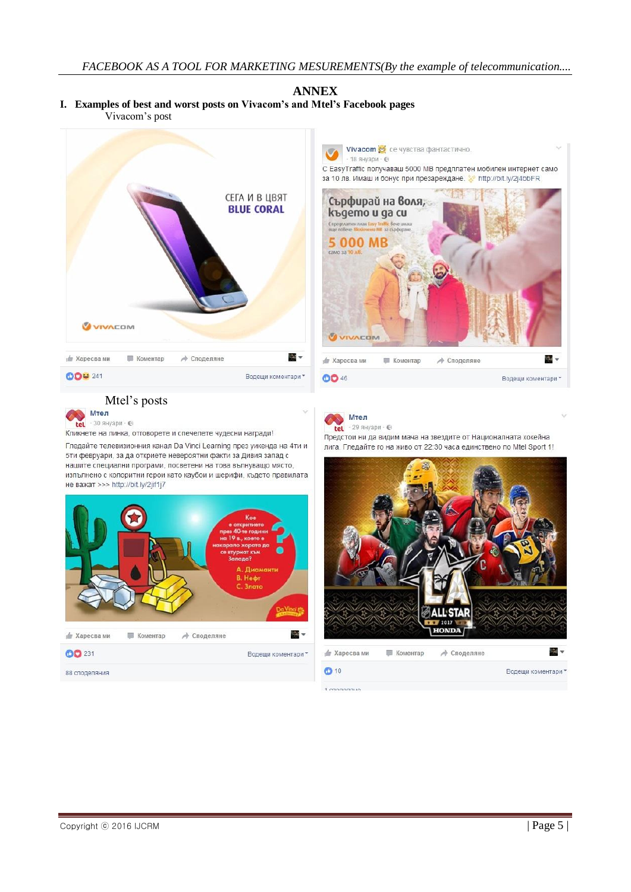#### **ANNEX I. Examples of best and worst posts on Vivacom's and Mtel's Facebook pages** Vivacom's post





# Mtel's posts



Кликнете на линка, отговорете и спечелете чудесни награди!

Гледайте телевизионния канал Da Vinci Learning през уикенда на 4ти и 5ти февруари, за да откриете невероятни факти за Дивия запад с нашите специални програми, посветени на това вълнуващо място. изпълнено с колоритни герои като каубои и шерифи, където правилата не важат >>> http://bit.ly/2jif1j7





Предстои ни да видим мача на звездите от Националната хокейна лига. Гледайте го на живо от 22:30 часа единствено по Mtel Sport 1!

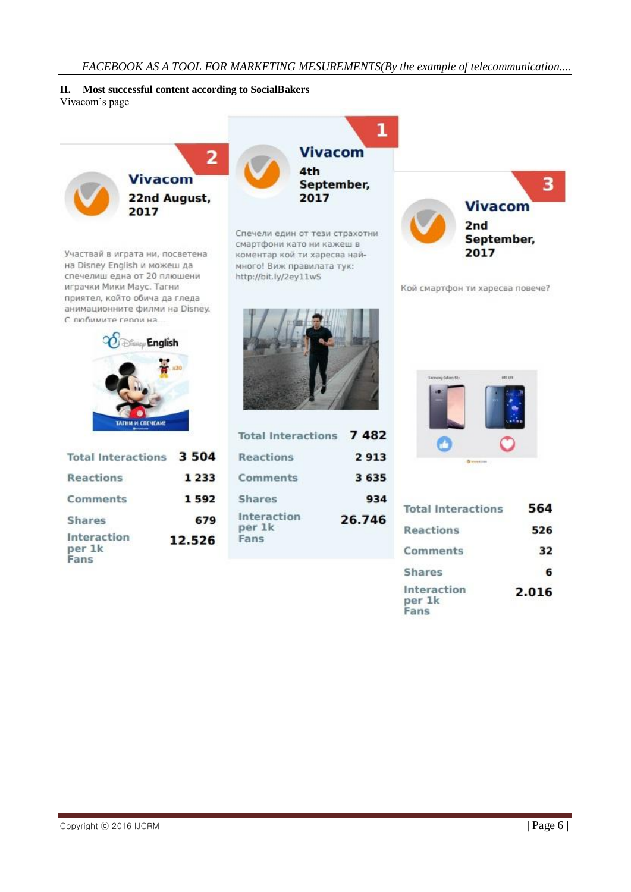**II. Most successful content according to SocialBakers** Vivacom's page

> $\overline{\mathbf{2}}$ **Vivacom** 22nd August, 2017

Участвай в играта ни, посветена на Disney English и можеш да спечелиш една от 20 плюшени играчки Мики Маус. Тагни приятел, който обича да гледа анимационните филми на Disney. С любимите герои на



| Total Interactions 3 504      |         |
|-------------------------------|---------|
| Reactions                     | 1 2 3 3 |
| Comments                      | 1592    |
| <b>Shares</b>                 | 679     |
| Interaction<br>per 1k<br>Fans | 12.526  |



Спечели един от тези страхотни смартфони като ни кажеш в коментар кой ти харесва наймного! Виж правилата тук: http://bit.ly/2ey11wS



Кой смартфон ти харесва повече?



| <b>Total Interactions</b>     | 7482    |
|-------------------------------|---------|
| Reactions                     | 2913    |
| <b>Comments</b>               | 3 6 3 5 |
| <b>Shares</b>                 | 934     |
| Interaction<br>per 1k<br>Fans | 26.746  |



| <b>Total Interactions</b>     | 564   |
|-------------------------------|-------|
| Reactions                     | 526   |
| Comments                      | 32    |
| <b>Shares</b>                 | 6     |
| Interaction<br>per 1k<br>Fans | 2.016 |